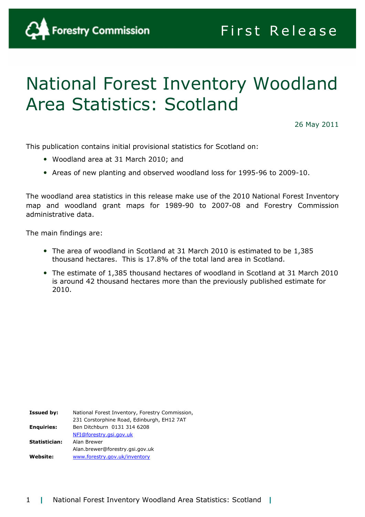

# National Forest Inventory Woodland Area Statistics: Scotland

26 May 2011

This publication contains initial provisional statistics for Scotland on:

- Woodland area at 31 March 2010; and
- Areas of new planting and observed woodland loss for 1995-96 to 2009-10.

The woodland area statistics in this release make use of the 2010 National Forest Inventory map and woodland grant maps for 1989-90 to 2007-08 and Forestry Commission administrative data.

The main findings are:

- The area of woodland in Scotland at 31 March 2010 is estimated to be 1,385 thousand hectares. This is 17.8% of the total land area in Scotland.
- The estimate of 1,385 thousand hectares of woodland in Scotland at 31 March 2010 is around 42 thousand hectares more than the previously published estimate for 2010.

Issued by: National Forest Inventory, Forestry Commission, 231 Corstorphine Road, Edinburgh, EH12 7AT Enquiries: Ben Ditchburn 0131 314 6208 NFI@forestry.gsi.gov.uk Statistician: Alan Brewer Alan.brewer@forestry.gsi.gov.uk Website: www.forestry.gov.uk/inventory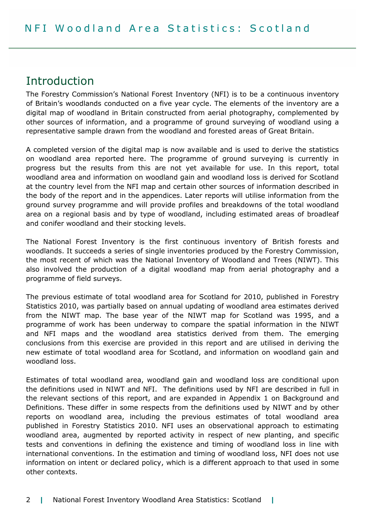### Introduction

The Forestry Commission's National Forest Inventory (NFI) is to be a continuous inventory of Britain's woodlands conducted on a five year cycle. The elements of the inventory are a digital map of woodland in Britain constructed from aerial photography, complemented by other sources of information, and a programme of ground surveying of woodland using a representative sample drawn from the woodland and forested areas of Great Britain.

A completed version of the digital map is now available and is used to derive the statistics on woodland area reported here. The programme of ground surveying is currently in progress but the results from this are not yet available for use. In this report, total woodland area and information on woodland gain and woodland loss is derived for Scotland at the country level from the NFI map and certain other sources of information described in the body of the report and in the appendices. Later reports will utilise information from the ground survey programme and will provide profiles and breakdowns of the total woodland area on a regional basis and by type of woodland, including estimated areas of broadleaf and conifer woodland and their stocking levels.

The National Forest Inventory is the first continuous inventory of British forests and woodlands. It succeeds a series of single inventories produced by the Forestry Commission, the most recent of which was the National Inventory of Woodland and Trees (NIWT). This also involved the production of a digital woodland map from aerial photography and a programme of field surveys.

The previous estimate of total woodland area for Scotland for 2010, published in Forestry Statistics 2010, was partially based on annual updating of woodland area estimates derived from the NIWT map. The base year of the NIWT map for Scotland was 1995, and a programme of work has been underway to compare the spatial information in the NIWT and NFI maps and the woodland area statistics derived from them. The emerging conclusions from this exercise are provided in this report and are utilised in deriving the new estimate of total woodland area for Scotland, and information on woodland gain and woodland loss.

Estimates of total woodland area, woodland gain and woodland loss are conditional upon the definitions used in NIWT and NFI. The definitions used by NFI are described in full in the relevant sections of this report, and are expanded in Appendix 1 on Background and Definitions. These differ in some respects from the definitions used by NIWT and by other reports on woodland area, including the previous estimates of total woodland area published in Forestry Statistics 2010. NFI uses an observational approach to estimating woodland area, augmented by reported activity in respect of new planting, and specific tests and conventions in defining the existence and timing of woodland loss in line with international conventions. In the estimation and timing of woodland loss, NFI does not use information on intent or declared policy, which is a different approach to that used in some other contexts.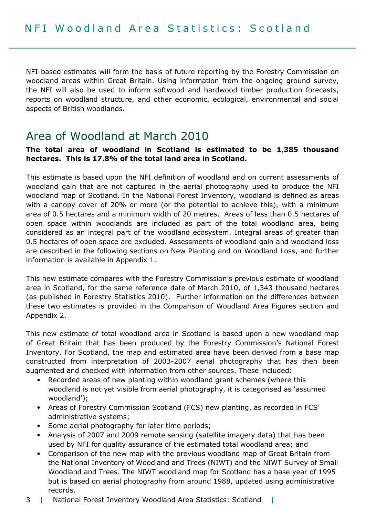NFI-based estimates will form the basis of future reporting by the Forestry Commission on woodland areas within Great Britain. Using information from the ongoing ground survey, the NFI will also be used to inform softwood and hardwood timber production forecasts, reports on woodland structure, and other economic, ecological, environmental and social aspects of British woodlands.

### Area of Woodland at March 2010

#### The total area of woodland in Scotland is estimated to be 1,385 thousand hectares. This is 17.8% of the total land area in Scotland.

This estimate is based upon the NFI definition of woodland and on current assessments of woodland gain that are not captured in the aerial photography used to produce the NFI woodland map of Scotland. In the National Forest Inventory, woodland is defined as areas with a canopy cover of 20% or more (or the potential to achieve this), with a minimum area of 0.5 hectares and a minimum width of 20 metres. Areas of less than 0.5 hectares of open space within woodlands are included as part of the total woodland area, being considered as an integral part of the woodland ecosystem. Integral areas of greater than 0.5 hectares of open space are excluded. Assessments of woodland gain and woodland loss are described in the following sections on New Planting and on Woodland Loss, and further information is available in Appendix 1.

This new estimate compares with the Forestry Commission's previous estimate of woodland area in Scotland, for the same reference date of March 2010, of 1,343 thousand hectares (as published in Forestry Statistics 2010). Further information on the differences between these two estimates is provided in the Comparison of Woodland Area Figures section and Appendix 2.

This new estimate of total woodland area in Scotland is based upon a new woodland map of Great Britain that has been produced by the Forestry Commission's National Forest Inventory. For Scotland, the map and estimated area have been derived from a base map constructed from interpretation of 2003-2007 aerial photography that has then been augmented and checked with information from other sources. These included:

- Recorded areas of new planting within woodland grant schemes (where this woodland is not yet visible from aerial photography, it is categorised as 'assumed woodland');
- Areas of Forestry Commission Scotland (FCS) new planting, as recorded in FCS' administrative systems;
- Some aerial photography for later time periods;
- Analysis of 2007 and 2009 remote sensing (satellite imagery data) that has been used by NFI for quality assurance of the estimated total woodland area; and
- Comparison of the new map with the previous woodland map of Great Britain from the National Inventory of Woodland and Trees (NIWT) and the NIWT Survey of Small Woodland and Trees. The NIWT woodland map for Scotland has a base year of 1995 but is based on aerial photography from around 1988, updated using administrative records.
- 3 | National Forest Inventory Woodland Area Statistics: Scotland |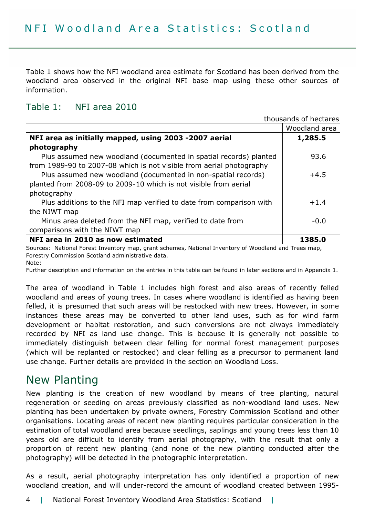Table 1 shows how the NFI woodland area estimate for Scotland has been derived from the woodland area observed in the original NFI base map using these other sources of information.

#### Table 1: NFI area 2010

thousands of hectares

|                                                                      | Woodland area |
|----------------------------------------------------------------------|---------------|
| NFI area as initially mapped, using 2003 -2007 aerial                | 1,285.5       |
| photography                                                          |               |
| Plus assumed new woodland (documented in spatial records) planted    | 93.6          |
| from 1989-90 to 2007-08 which is not visible from aerial photography |               |
| Plus assumed new woodland (documented in non-spatial records)        | $+4.5$        |
| planted from 2008-09 to 2009-10 which is not visible from aerial     |               |
| photography                                                          |               |
| Plus additions to the NFI map verified to date from comparison with  | $+1.4$        |
| the NIWT map                                                         |               |
| Minus area deleted from the NFI map, verified to date from           | $-0.0$        |
| comparisons with the NIWT map                                        |               |
| NFI area in 2010 as now estimated                                    | 1385.0        |

Sources: National Forest Inventory map, grant schemes, National Inventory of Woodland and Trees map, Forestry Commission Scotland administrative data.

Note:

Further description and information on the entries in this table can be found in later sections and in Appendix 1.

The area of woodland in Table 1 includes high forest and also areas of recently felled woodland and areas of young trees. In cases where woodland is identified as having been felled, it is presumed that such areas will be restocked with new trees. However, in some instances these areas may be converted to other land uses, such as for wind farm development or habitat restoration, and such conversions are not always immediately recorded by NFI as land use change. This is because it is generally not possible to immediately distinguish between clear felling for normal forest management purposes (which will be replanted or restocked) and clear felling as a precursor to permanent land use change. Further details are provided in the section on Woodland Loss.

### New Planting

New planting is the creation of new woodland by means of tree planting, natural regeneration or seeding on areas previously classified as non-woodland land uses. New planting has been undertaken by private owners, Forestry Commission Scotland and other organisations. Locating areas of recent new planting requires particular consideration in the estimation of total woodland area because seedlings, saplings and young trees less than 10 years old are difficult to identify from aerial photography, with the result that only a proportion of recent new planting (and none of the new planting conducted after the photography) will be detected in the photographic interpretation.

As a result, aerial photography interpretation has only identified a proportion of new woodland creation, and will under-record the amount of woodland created between 1995-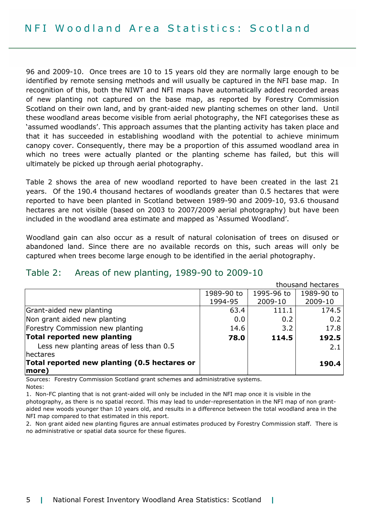96 and 2009-10. Once trees are 10 to 15 years old they are normally large enough to be identified by remote sensing methods and will usually be captured in the NFI base map. In recognition of this, both the NIWT and NFI maps have automatically added recorded areas of new planting not captured on the base map, as reported by Forestry Commission Scotland on their own land, and by grant-aided new planting schemes on other land. Until these woodland areas become visible from aerial photography, the NFI categorises these as 'assumed woodlands'. This approach assumes that the planting activity has taken place and that it has succeeded in establishing woodland with the potential to achieve minimum canopy cover. Consequently, there may be a proportion of this assumed woodland area in which no trees were actually planted or the planting scheme has failed, but this will ultimately be picked up through aerial photography.

Table 2 shows the area of new woodland reported to have been created in the last 21 years. Of the 190.4 thousand hectares of woodlands greater than 0.5 hectares that were reported to have been planted in Scotland between 1989-90 and 2009-10, 93.6 thousand hectares are not visible (based on 2003 to 2007/2009 aerial photography) but have been included in the woodland area estimate and mapped as 'Assumed Woodland'.

Woodland gain can also occur as a result of natural colonisation of trees on disused or abandoned land. Since there are no available records on this, such areas will only be captured when trees become large enough to be identified in the aerial photography.

#### Table 2: Areas of new planting, 1989-90 to 2009-10

thousand hectares

|                                              | 1989-90 to | 1995-96 to | 1989-90 to |
|----------------------------------------------|------------|------------|------------|
|                                              | 1994-95    | 2009-10    | 2009-10    |
| Grant-aided new planting                     | 63.4       | 111.1      | 174.5      |
| Non grant aided new planting                 | 0.0        | 0.2        | 0.2        |
| Forestry Commission new planting             | 14.6       | 3.2        | 17.8       |
| Total reported new planting                  | 78.0       | 114.5      | 192.5      |
| Less new planting areas of less than 0.5     |            |            | 2.1        |
| hectares                                     |            |            |            |
| Total reported new planting (0.5 hectares or |            |            | 190.4      |
| $ more\rangle$                               |            |            |            |

Sources: Forestry Commission Scotland grant schemes and administrative systems. Notes:

1. Non-FC planting that is not grant-aided will only be included in the NFI map once it is visible in the photography, as there is no spatial record. This may lead to under-representation in the NFI map of non grantaided new woods younger than 10 years old, and results in a difference between the total woodland area in the NFI map compared to that estimated in this report.

2. Non grant aided new planting figures are annual estimates produced by Forestry Commission staff. There is no administrative or spatial data source for these figures.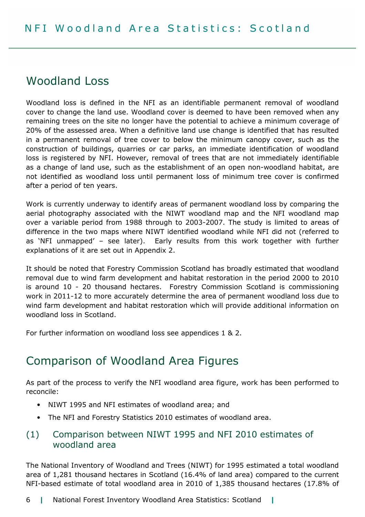### Woodland Loss

Woodland loss is defined in the NFI as an identifiable permanent removal of woodland cover to change the land use. Woodland cover is deemed to have been removed when any remaining trees on the site no longer have the potential to achieve a minimum coverage of 20% of the assessed area. When a definitive land use change is identified that has resulted in a permanent removal of tree cover to below the minimum canopy cover, such as the construction of buildings, quarries or car parks, an immediate identification of woodland loss is registered by NFI. However, removal of trees that are not immediately identifiable as a change of land use, such as the establishment of an open non-woodland habitat, are not identified as woodland loss until permanent loss of minimum tree cover is confirmed after a period of ten years.

Work is currently underway to identify areas of permanent woodland loss by comparing the aerial photography associated with the NIWT woodland map and the NFI woodland map over a variable period from 1988 through to 2003-2007. The study is limited to areas of difference in the two maps where NIWT identified woodland while NFI did not (referred to as 'NFI unmapped' – see later). Early results from this work together with further explanations of it are set out in Appendix 2.

It should be noted that Forestry Commission Scotland has broadly estimated that woodland removal due to wind farm development and habitat restoration in the period 2000 to 2010 is around 10 - 20 thousand hectares. Forestry Commission Scotland is commissioning work in 2011-12 to more accurately determine the area of permanent woodland loss due to wind farm development and habitat restoration which will provide additional information on woodland loss in Scotland.

For further information on woodland loss see appendices 1 & 2.

### Comparison of Woodland Area Figures

As part of the process to verify the NFI woodland area figure, work has been performed to reconcile:

- NIWT 1995 and NFI estimates of woodland area; and
- The NFI and Forestry Statistics 2010 estimates of woodland area.

### (1) Comparison between NIWT 1995 and NFI 2010 estimates of woodland area

The National Inventory of Woodland and Trees (NIWT) for 1995 estimated a total woodland area of 1,281 thousand hectares in Scotland (16.4% of land area) compared to the current NFI-based estimate of total woodland area in 2010 of 1,385 thousand hectares (17.8% of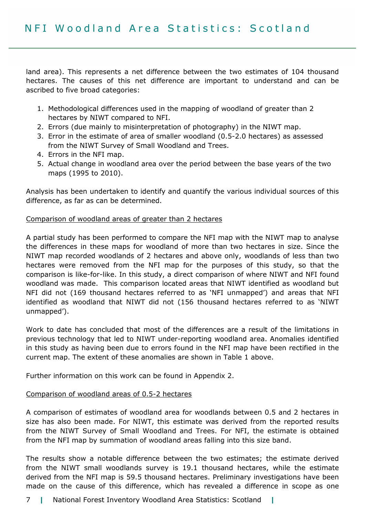land area). This represents a net difference between the two estimates of 104 thousand hectares. The causes of this net difference are important to understand and can be ascribed to five broad categories:

- 1. Methodological differences used in the mapping of woodland of greater than 2 hectares by NIWT compared to NFI.
- 2. Errors (due mainly to misinterpretation of photography) in the NIWT map.
- 3. Error in the estimate of area of smaller woodland (0.5-2.0 hectares) as assessed from the NIWT Survey of Small Woodland and Trees.
- 4. Errors in the NFI map.
- 5. Actual change in woodland area over the period between the base years of the two maps (1995 to 2010).

Analysis has been undertaken to identify and quantify the various individual sources of this difference, as far as can be determined.

#### Comparison of woodland areas of greater than 2 hectares

A partial study has been performed to compare the NFI map with the NIWT map to analyse the differences in these maps for woodland of more than two hectares in size. Since the NIWT map recorded woodlands of 2 hectares and above only, woodlands of less than two hectares were removed from the NFI map for the purposes of this study, so that the comparison is like-for-like. In this study, a direct comparison of where NIWT and NFI found woodland was made. This comparison located areas that NIWT identified as woodland but NFI did not (169 thousand hectares referred to as 'NFI unmapped') and areas that NFI identified as woodland that NIWT did not (156 thousand hectares referred to as 'NIWT unmapped').

Work to date has concluded that most of the differences are a result of the limitations in previous technology that led to NIWT under-reporting woodland area. Anomalies identified in this study as having been due to errors found in the NFI map have been rectified in the current map. The extent of these anomalies are shown in Table 1 above.

Further information on this work can be found in Appendix 2.

#### Comparison of woodland areas of 0.5-2 hectares

A comparison of estimates of woodland area for woodlands between 0.5 and 2 hectares in size has also been made. For NIWT, this estimate was derived from the reported results from the NIWT Survey of Small Woodland and Trees. For NFI, the estimate is obtained from the NFI map by summation of woodland areas falling into this size band.

The results show a notable difference between the two estimates; the estimate derived from the NIWT small woodlands survey is 19.1 thousand hectares, while the estimate derived from the NFI map is 59.5 thousand hectares. Preliminary investigations have been made on the cause of this difference, which has revealed a difference in scope as one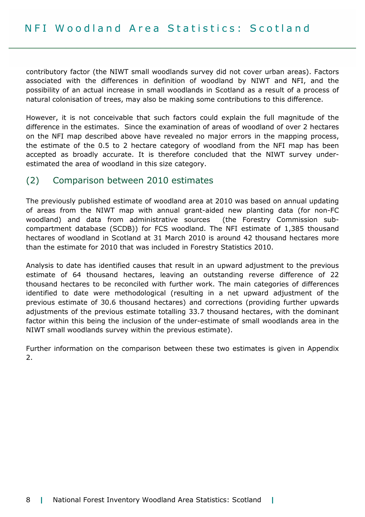contributory factor (the NIWT small woodlands survey did not cover urban areas). Factors associated with the differences in definition of woodland by NIWT and NFI, and the possibility of an actual increase in small woodlands in Scotland as a result of a process of natural colonisation of trees, may also be making some contributions to this difference.

However, it is not conceivable that such factors could explain the full magnitude of the difference in the estimates. Since the examination of areas of woodland of over 2 hectares on the NFI map described above have revealed no major errors in the mapping process, the estimate of the 0.5 to 2 hectare category of woodland from the NFI map has been accepted as broadly accurate. It is therefore concluded that the NIWT survey underestimated the area of woodland in this size category.

### (2) Comparison between 2010 estimates

The previously published estimate of woodland area at 2010 was based on annual updating of areas from the NIWT map with annual grant-aided new planting data (for non-FC woodland) and data from administrative sources (the Forestry Commission subcompartment database (SCDB)) for FCS woodland. The NFI estimate of 1,385 thousand hectares of woodland in Scotland at 31 March 2010 is around 42 thousand hectares more than the estimate for 2010 that was included in Forestry Statistics 2010.

Analysis to date has identified causes that result in an upward adjustment to the previous estimate of 64 thousand hectares, leaving an outstanding reverse difference of 22 thousand hectares to be reconciled with further work. The main categories of differences identified to date were methodological (resulting in a net upward adjustment of the previous estimate of 30.6 thousand hectares) and corrections (providing further upwards adjustments of the previous estimate totalling 33.7 thousand hectares, with the dominant factor within this being the inclusion of the under-estimate of small woodlands area in the NIWT small woodlands survey within the previous estimate).

Further information on the comparison between these two estimates is given in Appendix 2.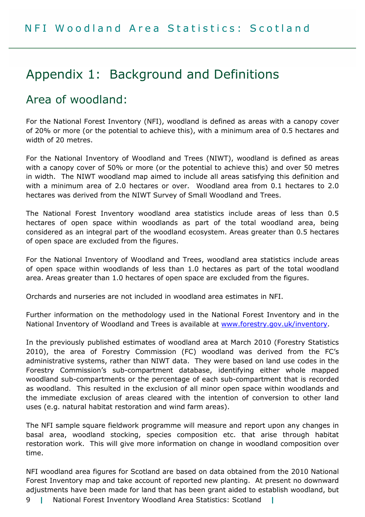## Appendix 1: Background and Definitions

### Area of woodland:

For the National Forest Inventory (NFI), woodland is defined as areas with a canopy cover of 20% or more (or the potential to achieve this), with a minimum area of 0.5 hectares and width of 20 metres.

For the National Inventory of Woodland and Trees (NIWT), woodland is defined as areas with a canopy cover of 50% or more (or the potential to achieve this) and over 50 metres in width. The NIWT woodland map aimed to include all areas satisfying this definition and with a minimum area of 2.0 hectares or over. Woodland area from 0.1 hectares to 2.0 hectares was derived from the NIWT Survey of Small Woodland and Trees.

The National Forest Inventory woodland area statistics include areas of less than 0.5 hectares of open space within woodlands as part of the total woodland area, being considered as an integral part of the woodland ecosystem. Areas greater than 0.5 hectares of open space are excluded from the figures.

For the National Inventory of Woodland and Trees, woodland area statistics include areas of open space within woodlands of less than 1.0 hectares as part of the total woodland area. Areas greater than 1.0 hectares of open space are excluded from the figures.

Orchards and nurseries are not included in woodland area estimates in NFI.

Further information on the methodology used in the National Forest Inventory and in the National Inventory of Woodland and Trees is available at www.forestry.gov.uk/inventory.

In the previously published estimates of woodland area at March 2010 (Forestry Statistics 2010), the area of Forestry Commission (FC) woodland was derived from the FC's administrative systems, rather than NIWT data. They were based on land use codes in the Forestry Commission's sub-compartment database, identifying either whole mapped woodland sub-compartments or the percentage of each sub-compartment that is recorded as woodland. This resulted in the exclusion of all minor open space within woodlands and the immediate exclusion of areas cleared with the intention of conversion to other land uses (e.g. natural habitat restoration and wind farm areas).

The NFI sample square fieldwork programme will measure and report upon any changes in basal area, woodland stocking, species composition etc. that arise through habitat restoration work. This will give more information on change in woodland composition over time.

NFI woodland area figures for Scotland are based on data obtained from the 2010 National Forest Inventory map and take account of reported new planting. At present no downward adjustments have been made for land that has been grant aided to establish woodland, but

9 | National Forest Inventory Woodland Area Statistics: Scotland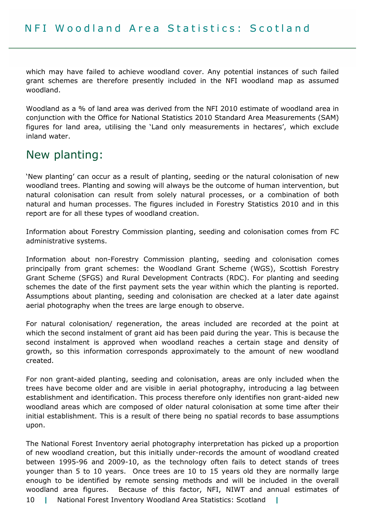which may have failed to achieve woodland cover. Any potential instances of such failed grant schemes are therefore presently included in the NFI woodland map as assumed woodland.

Woodland as a % of land area was derived from the NFI 2010 estimate of woodland area in conjunction with the Office for National Statistics 2010 Standard Area Measurements (SAM) figures for land area, utilising the 'Land only measurements in hectares', which exclude inland water.

### New planting:

'New planting' can occur as a result of planting, seeding or the natural colonisation of new woodland trees. Planting and sowing will always be the outcome of human intervention, but natural colonisation can result from solely natural processes, or a combination of both natural and human processes. The figures included in Forestry Statistics 2010 and in this report are for all these types of woodland creation.

Information about Forestry Commission planting, seeding and colonisation comes from FC administrative systems.

Information about non-Forestry Commission planting, seeding and colonisation comes principally from grant schemes: the Woodland Grant Scheme (WGS), Scottish Forestry Grant Scheme (SFGS) and Rural Development Contracts (RDC). For planting and seeding schemes the date of the first payment sets the year within which the planting is reported. Assumptions about planting, seeding and colonisation are checked at a later date against aerial photography when the trees are large enough to observe.

For natural colonisation/ regeneration, the areas included are recorded at the point at which the second instalment of grant aid has been paid during the year. This is because the second instalment is approved when woodland reaches a certain stage and density of growth, so this information corresponds approximately to the amount of new woodland created.

For non grant-aided planting, seeding and colonisation, areas are only included when the trees have become older and are visible in aerial photography, introducing a lag between establishment and identification. This process therefore only identifies non grant-aided new woodland areas which are composed of older natural colonisation at some time after their initial establishment. This is a result of there being no spatial records to base assumptions upon.

10 | National Forest Inventory Woodland Area Statistics: Scotland | The National Forest Inventory aerial photography interpretation has picked up a proportion of new woodland creation, but this initially under-records the amount of woodland created between 1995-96 and 2009-10, as the technology often fails to detect stands of trees younger than 5 to 10 years. Once trees are 10 to 15 years old they are normally large enough to be identified by remote sensing methods and will be included in the overall woodland area figures. Because of this factor, NFI, NIWT and annual estimates of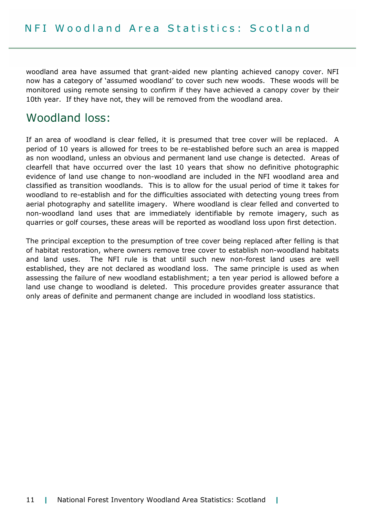woodland area have assumed that grant-aided new planting achieved canopy cover. NFI now has a category of 'assumed woodland' to cover such new woods. These woods will be monitored using remote sensing to confirm if they have achieved a canopy cover by their 10th year. If they have not, they will be removed from the woodland area.

### Woodland loss:

If an area of woodland is clear felled, it is presumed that tree cover will be replaced. A period of 10 years is allowed for trees to be re-established before such an area is mapped as non woodland, unless an obvious and permanent land use change is detected. Areas of clearfell that have occurred over the last 10 years that show no definitive photographic evidence of land use change to non-woodland are included in the NFI woodland area and classified as transition woodlands. This is to allow for the usual period of time it takes for woodland to re-establish and for the difficulties associated with detecting young trees from aerial photography and satellite imagery. Where woodland is clear felled and converted to non-woodland land uses that are immediately identifiable by remote imagery, such as quarries or golf courses, these areas will be reported as woodland loss upon first detection.

The principal exception to the presumption of tree cover being replaced after felling is that of habitat restoration, where owners remove tree cover to establish non-woodland habitats and land uses. The NFI rule is that until such new non-forest land uses are well established, they are not declared as woodland loss. The same principle is used as when assessing the failure of new woodland establishment; a ten year period is allowed before a land use change to woodland is deleted. This procedure provides greater assurance that only areas of definite and permanent change are included in woodland loss statistics.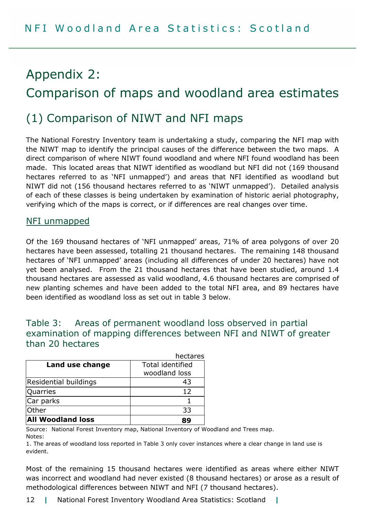## Appendix 2: Comparison of maps and woodland area estimates

### (1) Comparison of NIWT and NFI maps

The National Forestry Inventory team is undertaking a study, comparing the NFI map with the NIWT map to identify the principal causes of the difference between the two maps. A direct comparison of where NIWT found woodland and where NFI found woodland has been made. This located areas that NIWT identified as woodland but NFI did not (169 thousand hectares referred to as 'NFI unmapped') and areas that NFI identified as woodland but NIWT did not (156 thousand hectares referred to as 'NIWT unmapped'). Detailed analysis of each of these classes is being undertaken by examination of historic aerial photography, verifying which of the maps is correct, or if differences are real changes over time.

#### NFI unmapped

Of the 169 thousand hectares of 'NFI unmapped' areas, 71% of area polygons of over 20 hectares have been assessed, totalling 21 thousand hectares. The remaining 148 thousand hectares of 'NFI unmapped' areas (including all differences of under 20 hectares) have not yet been analysed. From the 21 thousand hectares that have been studied, around 1.4 thousand hectares are assessed as valid woodland, 4.6 thousand hectares are comprised of new planting schemes and have been added to the total NFI area, and 89 hectares have been identified as woodland loss as set out in table 3 below.

### Table 3: Areas of permanent woodland loss observed in partial examination of mapping differences between NFI and NIWT of greater than 20 hectares

|                          | hectares                |
|--------------------------|-------------------------|
| Land use change          | <b>Total identified</b> |
|                          | woodland loss           |
| Residential buildings    | 43                      |
| Quarries                 | 12                      |
| Car parks                |                         |
| lOther                   | 33                      |
| <b>All Woodland loss</b> | ŖG                      |

Source: National Forest Inventory map, National Inventory of Woodland and Trees map.

Notes:

1. The areas of woodland loss reported in Table 3 only cover instances where a clear change in land use is evident.

Most of the remaining 15 thousand hectares were identified as areas where either NIWT was incorrect and woodland had never existed (8 thousand hectares) or arose as a result of methodological differences between NIWT and NFI (7 thousand hectares).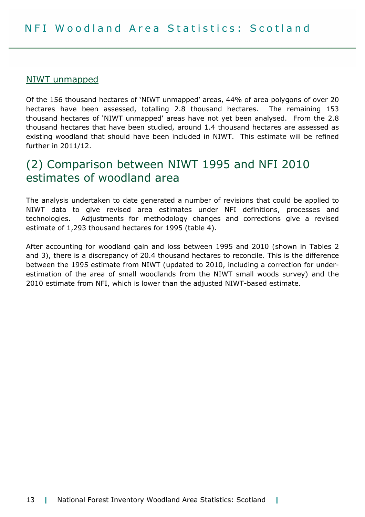#### NIWT unmapped

Of the 156 thousand hectares of 'NIWT unmapped' areas, 44% of area polygons of over 20 hectares have been assessed, totalling 2.8 thousand hectares. The remaining 153 thousand hectares of 'NIWT unmapped' areas have not yet been analysed. From the 2.8 thousand hectares that have been studied, around 1.4 thousand hectares are assessed as existing woodland that should have been included in NIWT. This estimate will be refined further in 2011/12.

### (2) Comparison between NIWT 1995 and NFI 2010 estimates of woodland area

The analysis undertaken to date generated a number of revisions that could be applied to NIWT data to give revised area estimates under NFI definitions, processes and technologies. Adjustments for methodology changes and corrections give a revised estimate of 1,293 thousand hectares for 1995 (table 4).

After accounting for woodland gain and loss between 1995 and 2010 (shown in Tables 2 and 3), there is a discrepancy of 20.4 thousand hectares to reconcile. This is the difference between the 1995 estimate from NIWT (updated to 2010, including a correction for underestimation of the area of small woodlands from the NIWT small woods survey) and the 2010 estimate from NFI, which is lower than the adjusted NIWT-based estimate.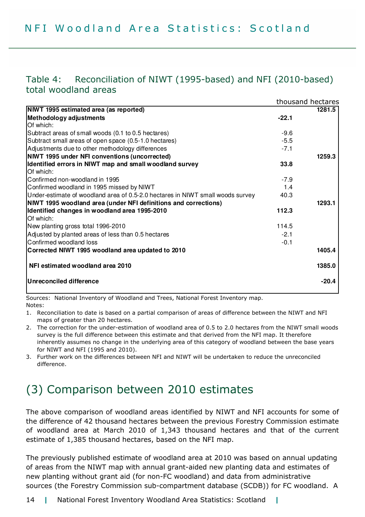### Table 4: Reconciliation of NIWT (1995-based) and NFI (2010-based) total woodland areas

|                                                                                |         | thousand hectares |
|--------------------------------------------------------------------------------|---------|-------------------|
| NIWT 1995 estimated area (as reported)                                         |         | 1281.5            |
| <b>Methodology adjustments</b>                                                 | $-22.1$ |                   |
| Of which:                                                                      |         |                   |
| Subtract areas of small woods (0.1 to 0.5 hectares)                            | $-9.6$  |                   |
| Subtract small areas of open space (0.5-1.0 hectares)                          | $-5.5$  |                   |
| Adjustments due to other methodology differences                               | $-7.1$  |                   |
| <b>NWT 1995 under NFI conventions (uncorrected)</b>                            |         | 1259.3            |
| Identified errors in NIWT map and small woodland survey                        | 33.8    |                   |
| Of which:                                                                      |         |                   |
| Confirmed non-woodland in 1995                                                 | $-7.9$  |                   |
| Confirmed woodland in 1995 missed by NIWT                                      | 1.4     |                   |
| Under-estimate of woodland area of 0.5-2.0 hectares in NIWT small woods survey | 40.3    |                   |
| NWT 1995 woodland area (under NFI definitions and corrections)                 |         | 1293.1            |
| Identified changes in woodland area 1995-2010                                  | 112.3   |                   |
| Of which:                                                                      |         |                   |
| New planting gross total 1996-2010                                             | 114.5   |                   |
| Adjusted by planted areas of less than 0.5 hectares                            | $-2.1$  |                   |
| Confirmed woodland loss                                                        | $-0.1$  |                   |
| Corrected NIWT 1995 woodland area updated to 2010                              |         | 1405.4            |
| NFI estimated woodland area 2010                                               |         | 1385.0            |
| <b>Unreconciled difference</b>                                                 |         | $-20.4$           |
|                                                                                |         |                   |

Sources: National Inventory of Woodland and Trees, National Forest Inventory map. Notes:

1. Reconciliation to date is based on a partial comparison of areas of difference between the NIWT and NFI maps of greater than 20 hectares.

- 2. The correction for the under-estimation of woodland area of 0.5 to 2.0 hectares from the NIWT small woods survey is the full difference between this estimate and that derived from the NFI map. It therefore inherently assumes no change in the underlying area of this category of woodland between the base years for NIWT and NFI (1995 and 2010).
- 3. Further work on the differences between NFI and NIWT will be undertaken to reduce the unreconciled difference.

### (3) Comparison between 2010 estimates

The above comparison of woodland areas identified by NIWT and NFI accounts for some of the difference of 42 thousand hectares between the previous Forestry Commission estimate of woodland area at March 2010 of 1,343 thousand hectares and that of the current estimate of 1,385 thousand hectares, based on the NFI map.

The previously published estimate of woodland area at 2010 was based on annual updating of areas from the NIWT map with annual grant-aided new planting data and estimates of new planting without grant aid (for non-FC woodland) and data from administrative sources (the Forestry Commission sub-compartment database (SCDB)) for FC woodland. A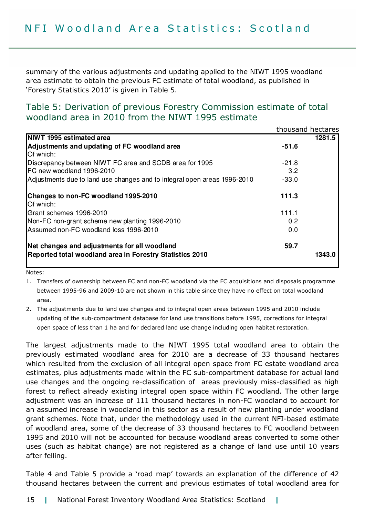summary of the various adjustments and updating applied to the NIWT 1995 woodland area estimate to obtain the previous FC estimate of total woodland, as published in 'Forestry Statistics 2010' is given in Table 5.

#### Table 5: Derivation of previous Forestry Commission estimate of total woodland area in 2010 from the NIWT 1995 estimate

|                                                                          |         | thousand hectares |
|--------------------------------------------------------------------------|---------|-------------------|
| <b>NWT 1995 estimated area</b>                                           |         | 1281.5            |
| Adjustments and updating of FC woodland area<br>Of which:                | $-51.6$ |                   |
| Discrepancy between NIWT FC area and SCDB area for 1995                  | $-21.8$ |                   |
| FC new woodland 1996-2010                                                | 3.2     |                   |
| Adjustments due to land use changes and to integral open areas 1996-2010 | $-33.0$ |                   |
| Changes to non-FC woodland 1995-2010<br>Of which:                        | 111.3   |                   |
| Grant schemes 1996-2010                                                  | 111.1   |                   |
| Non-FC non-grant scheme new planting 1996-2010                           | 0.2     |                   |
| Assumed non-FC woodland loss 1996-2010                                   | 0.0     |                   |
| Net changes and adjustments for all woodland                             | 59.7    |                   |
| Reported total woodland area in Forestry Statistics 2010                 |         | 1343.0            |

Notes:

1. Transfers of ownership between FC and non-FC woodland via the FC acquisitions and disposals programme between 1995-96 and 2009-10 are not shown in this table since they have no effect on total woodland area.

2. The adjustments due to land use changes and to integral open areas between 1995 and 2010 include updating of the sub-compartment database for land use transitions before 1995, corrections for integral open space of less than 1 ha and for declared land use change including open habitat restoration.

The largest adjustments made to the NIWT 1995 total woodland area to obtain the previously estimated woodland area for 2010 are a decrease of 33 thousand hectares which resulted from the exclusion of all integral open space from FC estate woodland area estimates, plus adjustments made within the FC sub-compartment database for actual land use changes and the ongoing re-classification of areas previously miss-classified as high forest to reflect already existing integral open space within FC woodland. The other large adjustment was an increase of 111 thousand hectares in non-FC woodland to account for an assumed increase in woodland in this sector as a result of new planting under woodland grant schemes. Note that, under the methodology used in the current NFI-based estimate of woodland area, some of the decrease of 33 thousand hectares to FC woodland between 1995 and 2010 will not be accounted for because woodland areas converted to some other uses (such as habitat change) are not registered as a change of land use until 10 years after felling.

Table 4 and Table 5 provide a 'road map' towards an explanation of the difference of 42 thousand hectares between the current and previous estimates of total woodland area for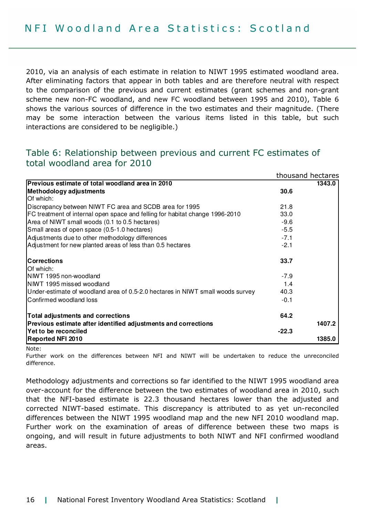2010, via an analysis of each estimate in relation to NIWT 1995 estimated woodland area. After eliminating factors that appear in both tables and are therefore neutral with respect to the comparison of the previous and current estimates (grant schemes and non-grant scheme new non-FC woodland, and new FC woodland between 1995 and 2010), Table 6 shows the various sources of difference in the two estimates and their magnitude. (There may be some interaction between the various items listed in this table, but such interactions are considered to be negligible.)

### Table 6: Relationship between previous and current FC estimates of total woodland area for 2010

|                                                                                |         | thousand hectares |
|--------------------------------------------------------------------------------|---------|-------------------|
| Previous estimate of total woodland area in 2010                               |         | 1343.0            |
| Methodology adjustments                                                        | 30.6    |                   |
| Of which:                                                                      |         |                   |
| Discrepancy between NIWT FC area and SCDB area for 1995                        | 21.8    |                   |
| FC treatment of internal open space and felling for habitat change 1996-2010   | 33.0    |                   |
| Area of NIWT small woods (0.1 to 0.5 hectares)                                 | $-9.6$  |                   |
| Small areas of open space (0.5-1.0 hectares)                                   | $-5.5$  |                   |
| Adjustments due to other methodology differences                               | $-7.1$  |                   |
| Adjustment for new planted areas of less than 0.5 hectares                     | $-2.1$  |                   |
| <b>Corrections</b>                                                             | 33.7    |                   |
| Of which:                                                                      |         |                   |
| NIWT 1995 non-woodland                                                         | $-7.9$  |                   |
| NIWT 1995 missed woodland                                                      | 1.4     |                   |
| Under-estimate of woodland area of 0.5-2.0 hectares in NIWT small woods survey | 40.3    |                   |
| Confirmed woodland loss                                                        | $-0.1$  |                   |
| Total adjustments and corrections                                              | 64.2    |                   |
| Previous estimate after identified adjustments and corrections                 |         | 1407.2            |
| Yet to be reconciled                                                           | $-22.3$ |                   |
| <b>Reported NFI 2010</b>                                                       |         | 1385.0            |

Note:

Further work on the differences between NFI and NIWT will be undertaken to reduce the unreconciled difference.

Methodology adjustments and corrections so far identified to the NIWT 1995 woodland area over-account for the difference between the two estimates of woodland area in 2010, such that the NFI-based estimate is 22.3 thousand hectares lower than the adjusted and corrected NIWT-based estimate. This discrepancy is attributed to as yet un-reconciled differences between the NIWT 1995 woodland map and the new NFI 2010 woodland map. Further work on the examination of areas of difference between these two maps is ongoing, and will result in future adjustments to both NIWT and NFI confirmed woodland areas.